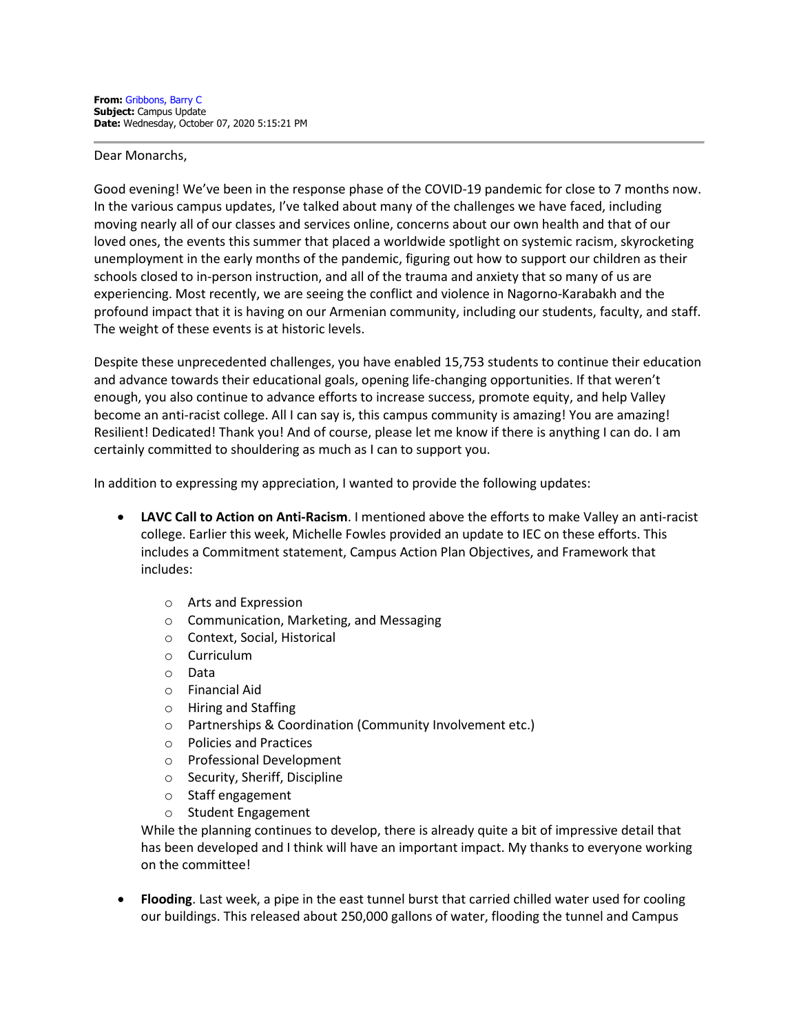## Dear Monarchs,

Good evening! We've been in the response phase of the COVID-19 pandemic for close to 7 months now. In the various campus updates, I've talked about many of the challenges we have faced, including moving nearly all of our classes and services online, concerns about our own health and that of our loved ones, the events this summer that placed a worldwide spotlight on systemic racism, skyrocketing unemployment in the early months of the pandemic, figuring out how to support our children as their schools closed to in-person instruction, and all of the trauma and anxiety that so many of us are experiencing. Most recently, we are seeing the conflict and violence in Nagorno-Karabakh and the profound impact that it is having on our Armenian community, including our students, faculty, and staff. The weight of these events is at historic levels.

Despite these unprecedented challenges, you have enabled 15,753 students to continue their education and advance towards their educational goals, opening life-changing opportunities. If that weren't enough, you also continue to advance efforts to increase success, promote equity, and help Valley become an anti-racist college. All I can say is, this campus community is amazing! You are amazing! Resilient! Dedicated! Thank you! And of course, please let me know if there is anything I can do. I am certainly committed to shouldering as much as I can to support you.

In addition to expressing my appreciation, I wanted to provide the following updates:

- **LAVC Call to Action on Anti-Racism**. I mentioned above the efforts to make Valley an anti-racist college. Earlier this week, Michelle Fowles provided an update to IEC on these efforts. This includes a Commitment statement, Campus Action Plan Objectives, and Framework that includes:
	- o Arts and Expression
	- o Communication, Marketing, and Messaging
	- o Context, Social, Historical
	- o Curriculum
	- o Data
	- o Financial Aid
	- o Hiring and Staffing
	- o Partnerships & Coordination (Community Involvement etc.)
	- o Policies and Practices
	- o Professional Development
	- o Security, Sheriff, Discipline
	- o Staff engagement
	- o Student Engagement

While the planning continues to develop, there is already quite a bit of impressive detail that has been developed and I think will have an important impact. My thanks to everyone working on the committee!

• **Flooding**. Last week, a pipe in the east tunnel burst that carried chilled water used for cooling our buildings. This released about 250,000 gallons of water, flooding the tunnel and Campus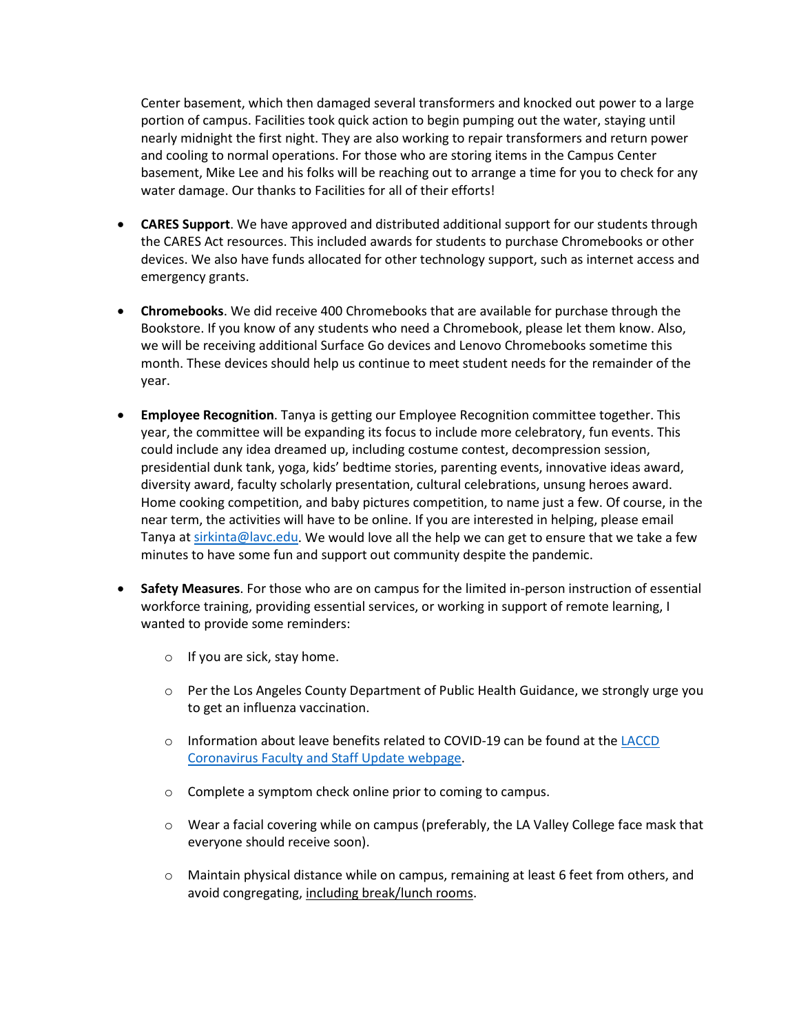Center basement, which then damaged several transformers and knocked out power to a large portion of campus. Facilities took quick action to begin pumping out the water, staying until nearly midnight the first night. They are also working to repair transformers and return power and cooling to normal operations. For those who are storing items in the Campus Center basement, Mike Lee and his folks will be reaching out to arrange a time for you to check for any water damage. Our thanks to Facilities for all of their efforts!

- **CARES Support**. We have approved and distributed additional support for our students through the CARES Act resources. This included awards for students to purchase Chromebooks or other devices. We also have funds allocated for other technology support, such as internet access and emergency grants.
- **Chromebooks**. We did receive 400 Chromebooks that are available for purchase through the Bookstore. If you know of any students who need a Chromebook, please let them know. Also, we will be receiving additional Surface Go devices and Lenovo Chromebooks sometime this month. These devices should help us continue to meet student needs for the remainder of the year.
- **Employee Recognition**. Tanya is getting our Employee Recognition committee together. This year, the committee will be expanding its focus to include more celebratory, fun events. This could include any idea dreamed up, including costume contest, decompression session, presidential dunk tank, yoga, kids' bedtime stories, parenting events, innovative ideas award, diversity award, faculty scholarly presentation, cultural celebrations, unsung heroes award. Home cooking competition, and baby pictures competition, to name just a few. Of course, in the near term, the activities will have to be online. If you are interested in helping, please email Tanya a[t sirkinta@lavc.edu.](mailto:sirkinta@lavc.edu) We would love all the help we can get to ensure that we take a few minutes to have some fun and support out community despite the pandemic.
- **Safety Measures**. For those who are on campus for the limited in-person instruction of essential workforce training, providing essential services, or working in support of remote learning, I wanted to provide some reminders:
	- o If you are sick, stay home.
	- o Per the Los Angeles County Department of Public Health Guidance, we strongly urge you to get an influenza vaccination.
	- $\circ$  Information about leave benefits related to COVID-19 can be found at the LACCD [Coronavirus Faculty and Staff Update webpage.](http://laccd.edu/About/News/Pages/Coronavirus---For-Faculty-and-Staff.aspx)
	- o Complete a symptom check online prior to coming to campus.
	- o Wear a facial covering while on campus (preferably, the LA Valley College face mask that everyone should receive soon).
	- o Maintain physical distance while on campus, remaining at least 6 feet from others, and avoid congregating, including break/lunch rooms.